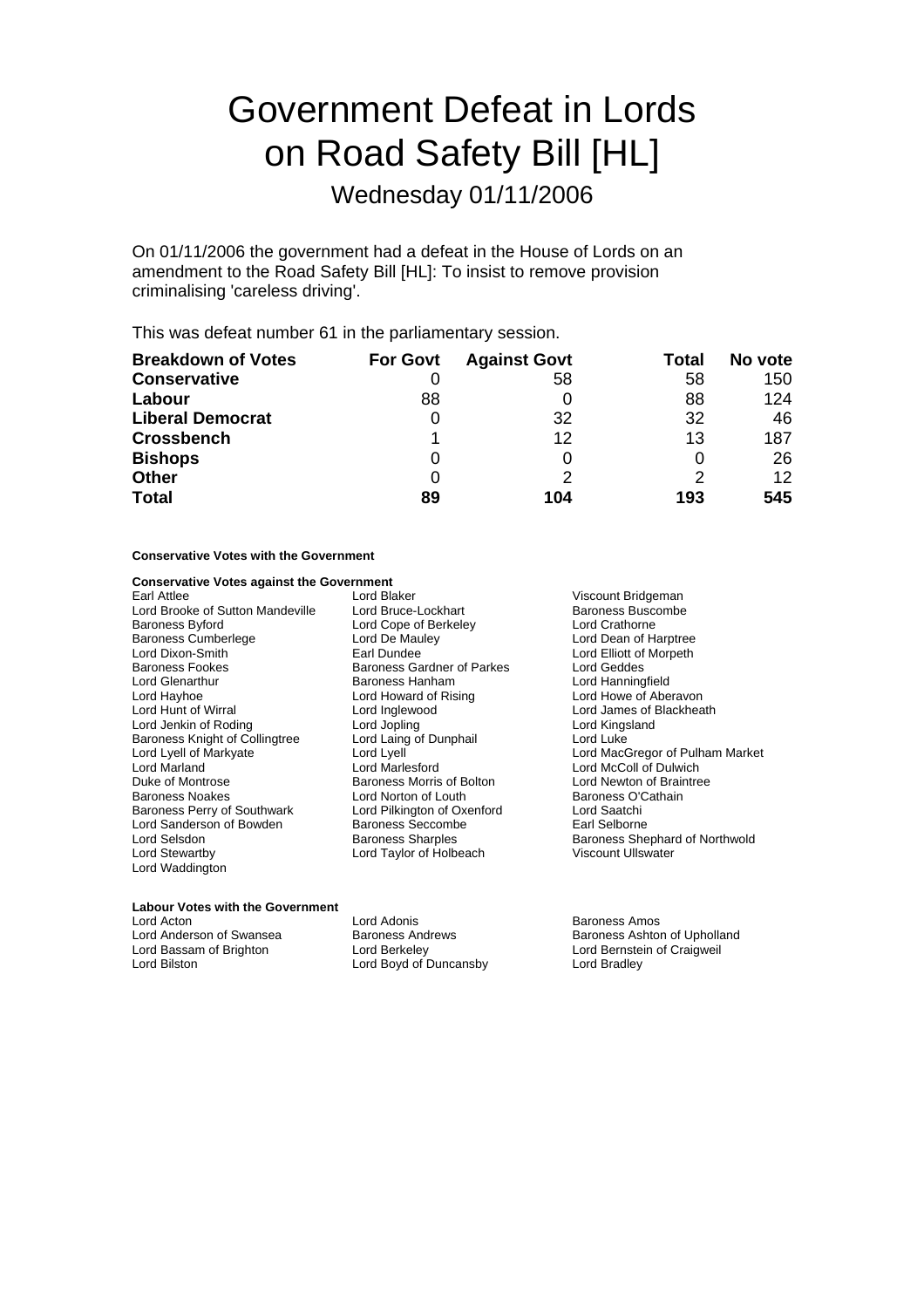# Government Defeat in Lords on Road Safety Bill [HL]

Wednesday 01/11/2006

On 01/11/2006 the government had a defeat in the House of Lords on an amendment to the Road Safety Bill [HL]: To insist to remove provision criminalising 'careless driving'.

This was defeat number 61 in the parliamentary session.

| <b>Breakdown of Votes</b> | <b>For Govt</b> | <b>Against Govt</b> | Total | No vote           |
|---------------------------|-----------------|---------------------|-------|-------------------|
| <b>Conservative</b>       |                 | 58                  | 58    | 150               |
| Labour                    | 88              |                     | 88    | 124               |
| <b>Liberal Democrat</b>   |                 | 32                  | 32    | 46                |
| <b>Crossbench</b>         |                 | 12                  | 13    | 187               |
| <b>Bishops</b>            |                 |                     |       | 26                |
| <b>Other</b>              | 0               |                     | 2     | $12 \overline{ }$ |
| <b>Total</b>              | 89              | 104                 | 193   | 545               |

# **Conservative Votes with the Government**

# **Conservative Votes against the Government**

| Earl Attlee                           | Lorc |
|---------------------------------------|------|
| Lord Brooke of Sutton Mandeville      | Lorc |
| Baroness Byford                       | Lorc |
| Baroness Cumberlege                   | Lorc |
| Lord Dixon-Smith                      | Earl |
| <b>Baroness Fookes</b>                | Bard |
| Lord Glenarthur                       | Bard |
| Lord Hayhoe                           | Lorc |
| Lord Hunt of Wirral                   | Lorc |
| Lord Jenkin of Roding                 | Lorc |
| <b>Baroness Knight of Collingtree</b> | Lorc |
| Lord Lyell of Markyate                | Lorc |
| Lord Marland                          | Lorc |
| Duke of Montrose                      | Baro |
| Baroness Noakes                       | Lorc |
| Baroness Perry of Southwark           | Lorc |
| Lord Sanderson of Bowden              | Baro |
| Lord Selsdon                          | Baro |
| Lord Stewartby                        | Lorc |
| Lord Waddington                       |      |
|                                       |      |

Earl Attlee Lord Blaker Viscount Bridgeman d Cope of Berkeley<br>H De Mauley I De Mauley **Cumberle Cumberle Lord Dean of Harptree**<br>
Lord Elliott of Morpeth oness Gardner of Parkes in Lord Geddes<br>Sales Hanham Cord Hanning Lord Glenarth r u Baroness Hanham Lord Hanningfield Lord Hayhoe Lord Howard of ising R Lord Howe of Aberavon l Inglewood و Lord James of Blackheath<br>Lord Kingsland و Lord Kingsland a<br>Barones of Dunphail<br>d Lyell oness Morris of Bolton<br>d Norton of Louth d Pilkington of Oxenford Lord Saatchi<br>oness Seccombe Lord Carl Selborne oness Seccombe<br>oness Sharples d Taylor of Holbeach Viscount Ullswater

Baroness Buscombe<br>Lord Crathorne Lord Elliott of Morpeth Lord Kingsland<br>Lord Luke Lord Lyell of Markyate Lord Lyell Lord MacGregor of Pulham Market Lord McColl of Dulwich<br>Lord Newton of Braintree Baroness O'Cathain<br>Lord Saatchi Baroness Shephard of Northwold

# **Labour Votes with the Government**

Lord Acton Lord Adonis Baroness Amos Lord Anderson of Swansea **Baroness Andrews** Baroness Ashton of Upholland<br>
Lord Bassam of Brighton **Baroness Andrews** Baroness Ashton of Craigweil Lord Bassam of Brighton Lord Berkeley Lord Bernstein of Craigweil Lord Boyd of Duncansby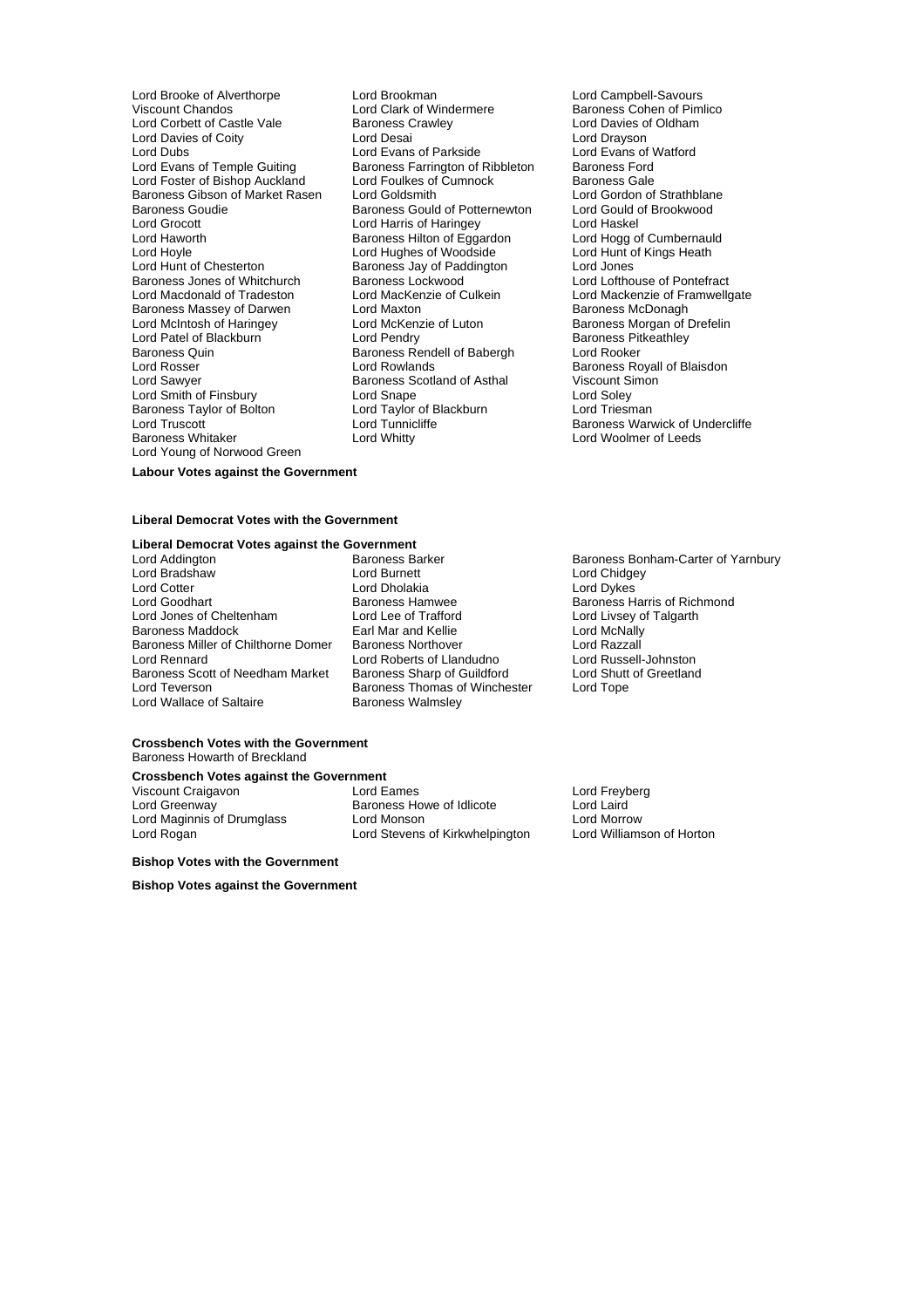Lord Brooke of Alverthorpe **Lord Brookman** Lord Campbell-Savours<br>
Viscount Chandos **Lord Clark of Windermere** Baroness Cohen of Piml Lord Corbett of Castle Vale Baroness Crawley<br>
Lord Davies of Coity<br>
Lord Drayson<br>
Lord Drayson Lord Davies of Coity<br>
Lord Dubs<br>
Lord Dubs<br>
Lord Dubs<br>
Lord Dubs<br>
Lord Dubs<br>
Lord Dubs<br>
Lord Dubs<br>
Lord Dubs<br>
Lord Dubs Lord Dubs<br>
Lord Evans of Temple Guiting 
Lord Evans of Temple Guiting

Lord Evans of Temple Guiting

Lord Evans of Temple Guiting

Lord Evans of Temple Guiting

Lord Evans of Temple Guiting

Lord Evans of Temple Guiting Lord Foster of Bishop Auckland Lord Foulkes of Cumnock Baroness Gale<br>
Baroness Gibson of Market Rasen Lord Goldsmith Lord Cord Gordon of Strathblane Baroness Gibson of Market Rasen Lord Goldsmith **Lord Condon of Strathblan**<br>Baroness Gould of Brookwood Baroness Gould of Potternewton Lord Gould of Brookwood Baroness Goudie **Baroness Gould of Potternewton** Lord Gould c<br>
Lord Grocott **Conditation** Lord Harris of Haringey Lord Haskel Lord Haworth **Baroness Hilton of Eggardon** Lord Hogg of Cumbernaul<br>Lord Hord Hogg of Woodside Lord Hunt of Kings Heath Lord Hoyle Lord Hughes of Woodside Lord Hunt of Chesterton<br>
Lord Hunt of Chesterton **Baroness** Jav of Paddington Lord Jones Lord Hunt of Chesterton **Baroness** Jay of Paddington<br>Baroness Jones of Whitchurch **Baroness Lockwood** Lord Macdonald of Tradeston Lord MacKenzie of Culkein Lord Mackenzie of Framewer Cord Mackenzie of Framwell Cord Maxton<br>Baroness Massey of Darwen Lord Maxton Lord Maxton Baroness McDonagh Baroness Massey of Darwen Lord Maxton<br>
Lord McChanger Corporation Corporation Corporation Corporation Corporation Corporation Corporation Corporatio<br>
Lord McChanger Corporation Corporation Corporation Corporation Corporati Lord McIntosh of Haringey Lord McKenzie of Luton Baroness Morgan of Dreft Lord McKenzie of Luton Baroness Morgan of Dreft Lord Pendry Baroness Pitkeathley Lord Patel of Blackburn **Contract Pendry Baroness Pitcher Pendry** Baroness Pitcher Baroness Pitcher Baroness Pit<br>
Baroness Quin Baroness Rendell of Babergh Lord Rooker Baroness Quin Baroness Rendell of Babergh<br>
Lord Rosser Lord Rowlands Lord Rosser **Lord Rowlands** Corporation Corporation Baroness Royall of Blaisdon<br>
Lord Sawver **Baroness Scotland of Asthal** Viscount Simon Lord Smith of Finsbury **Lord Snape Corporation Corporation**<br>Baroness Taylor of Bolton Lord Taylor of Blackburn Lord Triesman Baroness Taylor of Bolton lord Taylor of Blackburn<br>Lord Truscott Lord Tunnicliffe Baroness Whitaker Lord Young of Norwood Green

Lord Clark of Windermere **Baroness Cohen of Pimlico**<br>
Baroness Crawley **Baroness** Cohen of Pimlico Exaroness Farrington of Ribbleton Baroness Ford<br>
Lord Foulkes of Cumnock Baroness Gale Lord Harris of Haringey<br>
Baroness Hilton of Eggardon<br>
Lord Hogg of Cumbernauld Baroness Lockwood **baroness** Lord Lofthouse of Pontefract<br>
Lord Mackenzie of Culkein Lord Mackenzie of Framwelloate Baroness Scotland of Asthal Lord Tunnicliffe **Baroness Warwick of Undercliffe**<br>
Lord Whitty **Baroness Warwick of Undercliffe** 

# **Labour Votes against the Government**

### **Liberal Democrat Votes with the Government**

# **Liberal Democrat Votes against the Government**<br>
Lord Addington<br> **Rationess Barker**

Lord Bradshaw **Lord Burnett** Lord Bradshaw **Lord Bradshaw** Lord Chidgey<br>
Lord Cotter **Lord Constanting Lord Constanting Lord Constanting Lord Constanting Lord Constanting Lord Chidgey** Lord Cotter **Lord Dholakia**<br>
Lord Goodhart **Lord Dholakia**<br>
Baroness Hamwee Lord Goodhart **Baroness Hamwee** Baroness Hammee Baroness Harris of Richmond<br>
Lord Jones of Cheltenham Lord Lee of Trafford Lord Livsey of Talgarth Lord Jones of Cheltenham Lord Lee of Trafford Lord Livsey of Talgarth<br>
Baroness Maddock Lord Lord McNally<br>
Lord McNally Baroness Miller of Chilthorne Domer Raroness Northover Lord Razzall<br>
Lord Rennard Lord Roberts of Llandudno Lord Russell-Johnston Baroness Scott of Needham Market Baroness Sharp of Guildford Lord Shutt Lord Teverson Lord Shutt Baroness Thomas of Winchester Lord Tope Lord Wallace of Saltaire

Earl Mar and Kellie **Earl Mar and Kellie Lord McNally**<br>Baroness Northover **Connect Lord Razzall** Lord Roberts of Llandudno<br>
Baroness Sharp of Guildford<br>
Lord Shutt of Greetland Baroness Thomas of Winchester<br>Baroness Walmsley

# Lord Addington **Baroness Barker Baroness Barker Baroness Bonham-Carter of Yarnbury**<br>Lord Bradshaw **Baroness Barker Baroness Bonham-Carter of Yarnbury**

### **Crossbench Votes with the Government** Baroness Howarth of Breckland

# **Crossbench Votes against the Government**<br>Viscount Craigayon **Lord Fames**

Viscount Craigavon Lord Eames Lord Freyberg Lord Maginnis of Drumglass Lord Monson Lord Morrow Lord Rogan Lord Stevens of Kirkwhelpington

**Bishop Votes with the Government**

**Bishop Votes against the Government**

Exaroness Howe of Idlicote Execution Lord Laird<br>
Lord Monson **Example 20** Lord Morrow